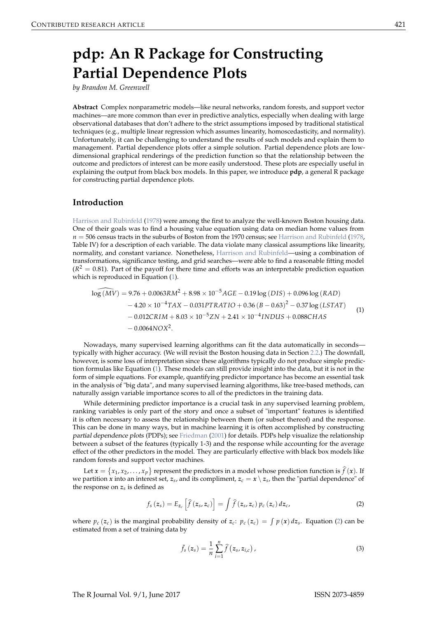# pdp: An R Package for Constructing **Partial Dependence Plots**

by Brandon M. Greenwell

Abstract Complex nonparametric models—like neural networks, random forests, and support vector machines—are more common than ever in predictive analytics, especially when dealing with large observational databases that don't adhere to the strict assumptions imposed by traditional statistical techniques (e.g., multiple linear regression which assumes linearity, homoscedasticity, and normality). Unfortunately, it can be challenging to understand the results of such models and explain them to management. Partial dependence plots offer a simple solution. Partial dependence plots are lowdimensional graphical renderings of the prediction function so that the relationship between the outcome and predictors of interest can be more easily understood. These plots are especially useful in explaining the output from black box models. In this paper, we introduce pdp, a general R package for constructing partial dependence plots.

### Introduction

Harrison and Rubinfeld (1978) were among the first to analyze the well-known Boston housing data. One of their goals was to find a housing value equation using data on median home values from  $n = 506$  census tracts in the suburbs of Boston from the 1970 census; see Harrison and Rubinfeld (1978, Table IV) for a description of each variable. The data violate many classical assumptions like linearity, normality, and constant variance. Nonetheless, Harrison and Rubinfeld—using a combination of transformations, significance testing, and grid searches—were able to find a reasonable fitting model  $(R<sup>2</sup> = 0.81)$ . Part of the payoff for there time and efforts was an interpretable prediction equation which is reproduced in Equation (1).

$$
log (M\bar{V}) = 9.76 + 0.0063RM^{2} + 8.98 \times 10^{-5}AGE - 0.19 log (DIS) + 0.096 log (RAD)- 4.20 \times 10^{-4} TAX - 0.031PTRATIO + 0.36 (B - 0.63)2 - 0.37 log (LSTAT)- 0.012CRIM + 8.03 \times 10^{-5} ZN + 2.41 \times 10^{-4} INDUS + 0.088CHAS- 0.0064NOX2.
$$
 (1)

Nowadays, many supervised learning algorithms can fit the data automatically in secondstypically with higher accuracy. (We will revisit the Boston housing data in Section 2.2.) The downfall, however, is some loss of interpretation since these algorithms typically do not produce simple prediction formulas like Equation (1). These models can still provide insight into the data, but it is not in the form of simple equations. For example, quantifying predictor importance has become an essential task in the analysis of "big data", and many supervised learning algorithms, like tree-based methods, can naturally assign variable importance scores to all of the predictors in the training data.

While determining predictor importance is a crucial task in any supervised learning problem, ranking variables is only part of the story and once a subset of "important" features is identified it is often necessary to assess the relationship between them (or subset thereof) and the response. This can be done in many ways, but in machine learning it is often accomplished by constructing partial dependence plots (PDPs); see Friedman (2001) for details. PDPs help visualize the relationship between a subset of the features (typically 1-3) and the response while accounting for the average effect of the other predictors in the model. They are particularly effective with black box models like random forests and support vector machines.

Let  $x = \{x_1, x_2, ..., x_p\}$  represent the predictors in a model whose prediction function is  $\hat{f}(x)$ . If we partition x into an interest set,  $z_s$ , and its compliment,  $z_c = x \setminus z_s$ , then the "partial dependence" of the response on  $z_s$  is defined as

$$
f_s(z_s) = E_{z_c} \left[ \widehat{f}(z_s, z_c) \right] = \int \widehat{f}(z_s, z_c) \, p_c(z_c) \, dz_c, \tag{2}
$$

where  $p_c(z_c)$  is the marginal probability density of  $z_c$ :  $p_c(z_c) = \int p(x) dz_s$ . Equation (2) can be estimated from a set of training data by

$$
\bar{f}_s(z_s) = \frac{1}{n} \sum_{i=1}^n \widehat{f}(z_s, z_{i,c}), \qquad (3)
$$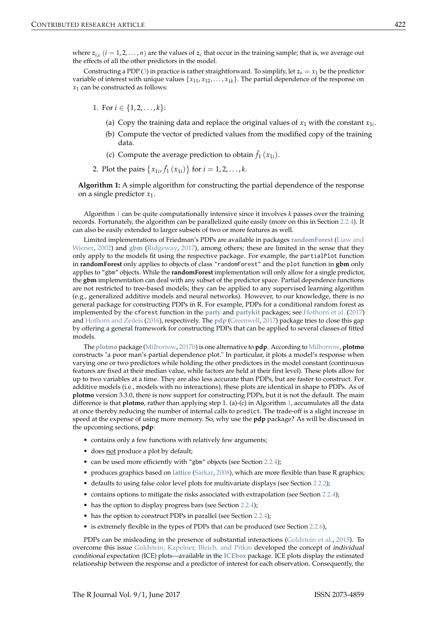where  $z_{i,c}$  ( $i = 1, 2, ..., n$ ) are the values of  $z_c$  that occur in the training sample; that is, we average out the effects of all the other predictors in the model.

Constructing a PDP (3) in practice is rather straightforward. To simplify, let  $z_s = x_1$  be the predictor variable of interest with unique values  $\{x_{11}, x_{12}, \ldots, x_{1k}\}\$ . The partial dependence of the response on  $x_1$  can be constructed as follows:

- 1. For  $i \in \{1, 2, ..., k\}$ :
	- (a) Copy the training data and replace the original values of  $x_1$  with the constant  $x_{1i}$ .
	- (b) Compute the vector of predicted values from the modified copy of the training data.
	- (c) Compute the average prediction to obtain  $\bar{f}_1(x_{1i})$ .
- 2. Plot the pairs  $\{x_{1i}, \bar{f}_1(x_{1i})\}$  for  $i = 1, 2, ..., k$ .

Algorithm 1: A simple algorithm for constructing the partial dependence of the response on a single predictor  $x_1$ .

Algorithm 1 can be quite computationally intensive since it involves  $k$  passes over the training records. Fortunately, the algorithm can be parallelized quite easily (more on this in Section 2.2.4). It can also be easily extended to larger subsets of two or more features as well.

Limited implementations of Friedman's PDPs are available in packages randomForest (Liaw and Wiener, 2002) and gbm (Ridgeway, 2017), among others; these are limited in the sense that they only apply to the models fit using the respective package. For example, the partialPlot function in randomForest only applies to objects of class "randomForest" and the plot function in gbm only applies to "gbm" objects. While the randomForest implementation will only allow for a single predictor, the gbm implementation can deal with any subset of the predictor space. Partial dependence functions are not restricted to tree-based models; they can be applied to any supervised learning algorithm (e.g., generalized additive models and neural networks). However, to our knowledge, there is no general package for constructing PDPs in R. For example, PDPs for a conditional random forest as implemented by the cforest function in the party and partykit packages; see Hothorn et al. (2017) and Hothorn and Zeileis (2016), respectively. The pdp (Greenwell, 2017) package tries to close this gap by offering a general framework for constructing PDPs that can be applied to several classes of fitted models.

The plotmo package (Milborrow, 2017b) is one alternative to pdp. According to Milborrow, plotmo constructs "a poor man's partial dependence plot." In particular, it plots a model's response when varying one or two predictors while holding the other predictors in the model constant (continuous features are fixed at their median value, while factors are held at their first level). These plots allow for up to two variables at a time. They are also less accurate than PDPs, but are faster to construct. For additive models (i.e., models with no interactions), these plots are identical in shape to PDPs. As of plotmo version 3.3.0, there is now support for constructing PDPs, but it is not the default. The main difference is that **plotmo**, rather than applying step 1. (a)-(c) in Algorithm 1, accumulates all the data at once thereby reducing the number of internal calls to predict. The trade-off is a slight increase in speed at the expense of using more memory. So, why use the pdp package? As will be discussed in the upcoming sections, pdp:

- contains only a few functions with relatively few arguments;
- does not produce a plot by default;
- can be used more efficiently with "gbm" objects (see Section 2.2.4);
- produces graphics based on lattice (Sarkar, 2008), which are more flexible than base R graphics;
- defaults to using false color level plots for multivariate displays (see Section 2.2.2);
- contains options to mitigate the risks associated with extrapolation (see Section 2.2.4);
- has the option to display progress bars (see Section 2.2.4);
- has the option to construct PDPs in parallel (see Section 2.2.4);
- is extremely flexible in the types of PDPs that can be produced (see Section 2.2.6),

PDPs can be misleading in the presence of substantial interactions (Goldstein et al., 2015). To overcome this issue Goldstein, Kapelner, Bleich, and Pitkin developed the concept of individual conditional expectation (ICE) plots—available in the ICEbox package. ICE plots display the estimated relationship between the response and a predictor of interest for each observation. Consequently, the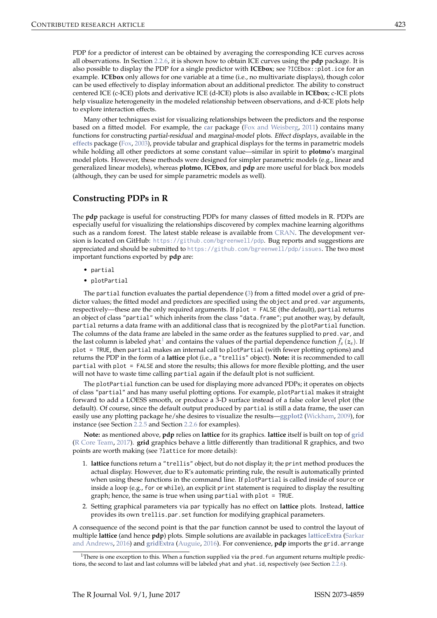PDP for a predictor of interest can be obtained by averaging the corresponding ICE curves across all observations. In Section 2.2.6, it is shown how to obtain ICE curves using the **pdp** package. It is also possible to display the PDP for a single predictor with ICEbox; see ?ICEbox: : plot.ice for an example. ICEbox only allows for one variable at a time (i.e., no multivariate displays), though color can be used effectively to display information about an additional predictor. The ability to construct centered ICE (c-ICE) plots and derivative ICE (d-ICE) plots is also available in ICEbox; c-ICE plots help visualize heterogeneity in the modeled relationship between observations, and d-ICE plots help to explore interaction effects.

Many other techniques exist for visualizing relationships between the predictors and the response based on a fitted model. For example, the car package (Fox and Weisberg, 2011) contains many functions for constructing partial-residual and marginal-model plots. Effect displays, available in the effects package (Fox, 2003), provide tabular and graphical displays for the terms in parametric models while holding all other predictors at some constant value—similar in spirit to plotmo's marginal model plots. However, these methods were designed for simpler parametric models (e.g., linear and generalized linear models), whereas plotmo, ICEbox, and pdp are more useful for black box models (although, they can be used for simple parametric models as well).

## **Constructing PDPs in R**

The pdp package is useful for constructing PDPs for many classes of fitted models in R. PDPs are especially useful for visualizing the relationships discovered by complex machine learning algorithms such as a random forest. The latest stable release is available from CRAN. The development version is located on GitHub: https://github.com/bgreenwell/pdp. Bug reports and suggestions are appreciated and should be submitted to https://github.com/bgreenwell/pdp/issues. The two most important functions exported by pdp are:

- partial
- plotPartial

The partial function evaluates the partial dependence  $(3)$  from a fitted model over a grid of predictor values; the fitted model and predictors are specified using the object and pred. var arguments, respectively—these are the only required arguments. If plot = FALSE (the default), partial returns an object of class "partial" which inherits from the class "data. frame"; put another way, by default, partial returns a data frame with an additional class that is recognized by the plotPartial function. The columns of the data frame are labeled in the same order as the features supplied to pred. var, and the last column is labeled yhat<sup>1</sup> and contains the values of the partial dependence function  $\bar{f}_s(z_s)$ . If plot = TRUE, then partial makes an internal call to plotPartial (with fewer plotting options) and returns the PDP in the form of a lattice plot (i.e., a "trellis" object). Note: it is recommended to call partial with plot = FALSE and store the results; this allows for more flexible plotting, and the user will not have to waste time calling partial again if the default plot is not sufficient.

The plotPartial function can be used for displaying more advanced PDPs; it operates on objects of class "partial" and has many useful plotting options. For example, plotPartial makes it straight forward to add a LOESS smooth, or produce a 3-D surface instead of a false color level plot (the default). Of course, since the default output produced by partial is still a data frame, the user can easily use any plotting package he/she desires to visualize the results—ggplot2 (Wickham, 2009), for instance (see Section 2.2.5 and Section 2.2.6 for examples).

Note: as mentioned above, pdp relies on lattice for its graphics. lattice itself is built on top of grid (R Core Team, 2017). grid graphics behave a little differently than traditional R graphics, and two points are worth making (see ?lattice for more details):

- 1. lattice functions return a "trellis" object, but do not display it; the print method produces the actual display. However, due to R's automatic printing rule, the result is automatically printed when using these functions in the command line. If plotPartial is called inside of source or inside a loop (e.g., for or while), an explicit print statement is required to display the resulting graph; hence, the same is true when using partial with plot = TRUE.
- 2. Setting graphical parameters via par typically has no effect on lattice plots. Instead, lattice provides its own trellis.par.set function for modifying graphical parameters.

A consequence of the second point is that the par function cannot be used to control the layout of multiple lattice (and hence pdp) plots. Simple solutions are available in packages lattice Extra (Sarkar and Andrews, 2016) and gridExtra (Auguie, 2016). For convenience, pdp imports the grid.arrange

<sup>&</sup>lt;sup>1</sup>There is one exception to this. When a function supplied via the pred. fun argument returns multiple predictions, the second to last and last columns will be labeled yhat and yhat . id, respectively (see Section 2.2.6).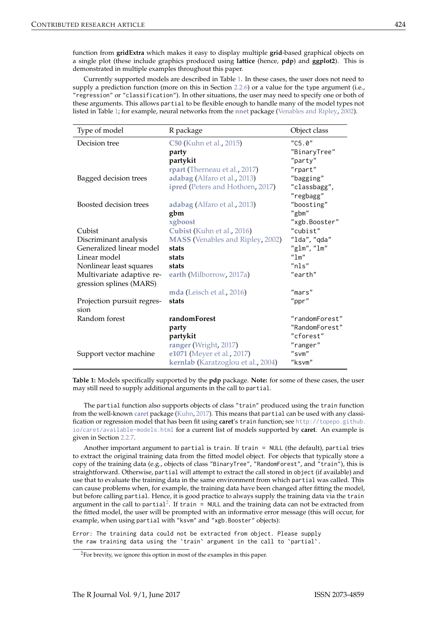function from gridExtra which makes it easy to display multiple grid-based graphical objects on a single plot (these include graphics produced using lattice (hence, pdp) and ggplot2). This is demonstrated in multiple examples throughout this paper.

Currently supported models are described in Table 1. In these cases, the user does not need to supply a prediction function (more on this in Section 2.2.6) or a value for the type argument (i.e., "regression" or "classification"). In other situations, the user may need to specify one or both of these arguments. This allows partial to be flexible enough to handle many of the model types not listed in Table 1; for example, neural networks from the nnet package (Venables and Ripley, 2002).

| Type of model                                        | R package                               | Object class   |
|------------------------------------------------------|-----------------------------------------|----------------|
| Decision tree                                        | <b>C50</b> (Kuhn et al., 2015)          | "C5.0"         |
|                                                      | party                                   | "BinaryTree"   |
|                                                      | partykit                                | "party"        |
|                                                      | rpart (Therneau et al., 2017)           | "rpart"        |
| Bagged decision trees                                | adabag (Alfaro et al., 2013)            | "bagging"      |
|                                                      | ipred (Peters and Hothorn, 2017)        | "classbagg",   |
|                                                      |                                         | "regbagg"      |
| Boosted decision trees                               | adabag (Alfaro et al., 2013)            | "boosting"     |
|                                                      | gbm                                     | "gbm"          |
|                                                      | xgboost                                 | "xgb.Booster"  |
| Cubist                                               | Cubist (Kuhn et al., 2016)              | "cubist"       |
| Discriminant analysis                                | <b>MASS</b> (Venables and Ripley, 2002) | "lda", "qda"   |
| Generalized linear model                             | stats                                   | "glm", "lm"    |
| Linear model                                         | stats                                   | "1m"           |
| Nonlinear least squares                              | stats                                   | "nls"          |
| Multivariate adaptive re-<br>gression splines (MARS) | earth (Milborrow, 2017a)                | "earth"        |
|                                                      | mda (Leisch et al., 2016)               | "mars"         |
| Projection pursuit regres-<br>sion                   | stats                                   | "ppr"          |
| Random forest                                        | randomForest                            | "randomForest" |
|                                                      | party                                   | "RandomForest" |
|                                                      | partykit                                | "cforest"      |
|                                                      | ranger (Wright, 2017)                   | "ranger"       |
| Support vector machine                               | e1071 (Meyer et al., 2017)              | "svm"          |
|                                                      | kernlab (Karatzoglou et al., 2004)      | "ksvm"         |

Table 1: Models specifically supported by the pdp package. Note: for some of these cases, the user may still need to supply additional arguments in the call to partial.

The partial function also supports objects of class "train" produced using the train function from the well-known caret package (Kuhn, 2017). This means that partial can be used with any classification or regression model that has been fit using caret's train function; see http://topepo.github. io/caret/available-models.html for a current list of models supported by caret. An example is given in Section 2.2.7.

Another important argument to partial is train. If train = NULL (the default), partial tries to extract the original training data from the fitted model object. For objects that typically store a copy of the training data (e.g., objects of class "BinaryTree", "RandomForest", and "train"), this is straightforward. Otherwise, partial will attempt to extract the call stored in object (if available) and use that to evaluate the training data in the same environment from which partial was called. This can cause problems when, for example, the training data have been changed after fitting the model, but before calling partial. Hence, it is good practice to always supply the training data via the train argument in the call to partial<sup>2</sup>. If train =  $NULL$  and the training data can not be extracted from the fitted model, the user will be prompted with an informative error message (this will occur, for example, when using partial with "ksvm" and "xgb. Booster" objects):

Error: The training data could not be extracted from object. Please supply the raw training data using the 'train' argument in the call to 'partial'.

 $^{2}$  For brevity, we ignore this option in most of the examples in this paper.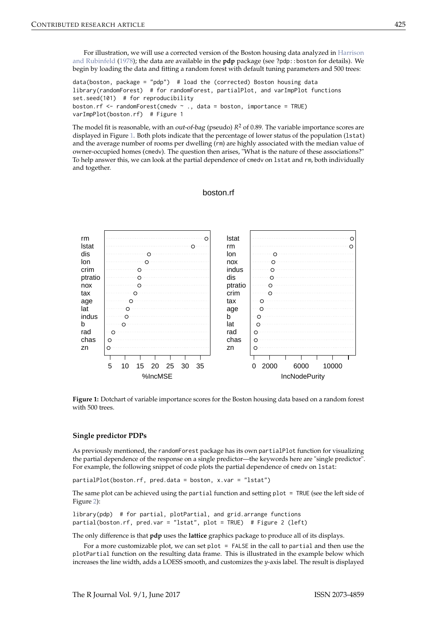For illustration, we will use a corrected version of the Boston housing data analyzed in Harrison and Rubinfeld (1978); the data are available in the pdp package (see ?pdp::boston for details). We begin by loading the data and fitting a random forest with default tuning parameters and 500 trees:

data(boston, package = "pdp") # load the (corrected) Boston housing data library(randomForest) # for randomForest, partialPlot, and varImpPlot functions set.seed(101) # for reproducibility boston.rf <- randomForest(cmedv  $\sim$  ., data = boston, importance = TRUE) varImpPlot(boston.rf) # Figure 1

The model fit is reasonable, with an *out-of-bag* (pseudo)  $R^2$  of 0.89. The variable importance scores are displayed in Figure 1. Both plots indicate that the percentage of lower status of the population (1stat) and the average number of rooms per dwelling (rm) are highly associated with the median value of owner-occupied homes (cmedv). The question then arises, "What is the nature of these associations?" To help answer this, we can look at the partial dependence of cmedy on 1stat and rm, both individually and together.

# boston.rf



Figure 1: Dotchart of variable importance scores for the Boston housing data based on a random forest with 500 trees.

#### **Single predictor PDPs**

As previously mentioned, the randomForest package has its own partialPlot function for visualizing the partial dependence of the response on a single predictor—the keywords here are "single predictor". For example, the following snippet of code plots the partial dependence of cmedv on 1stat:

partialPlot(boston.rf, pred.data = boston, x.var = "lstat")

The same plot can be achieved using the partial function and setting plot = TRUE (see the left side of Figure 2):

library(pdp) # for partial, plotPartial, and grid.arrange functions partial(boston.rf, pred.var = "lstat", plot = TRUE) # Figure 2 (left)

The only difference is that pdp uses the lattice graphics package to produce all of its displays.

For a more customizable plot, we can set plot  $=$  FALSE in the call to partial and then use the plotPartial function on the resulting data frame. This is illustrated in the example below which increases the line width, adds a LOESS smooth, and customizes the y-axis label. The result is displayed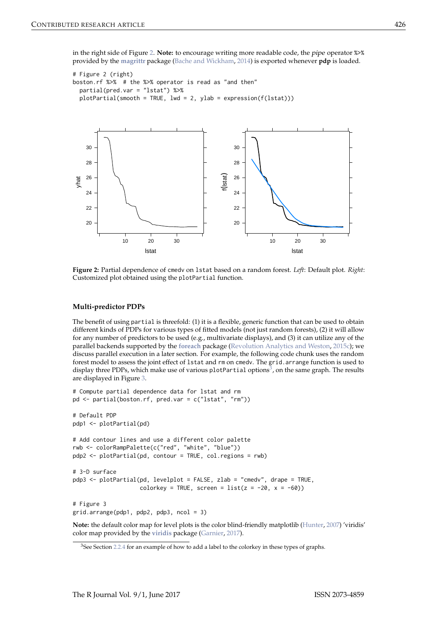in the right side of Figure 2. Note: to encourage writing more readable code, the pipe operator %>% provided by the magrittr package (Bache and Wickham, 2014) is exported whenever pdp is loaded.

```
# Figure 2 (right)
boston.rf %>% # the %>% operator is read as "and then"
 partial (pred.var = "lstat") %>%
 plotPartial(smooth = TRUE, lwd = 2, ylab = expression(f(lstat)))
```


Figure 2: Partial dependence of cmedy on 1stat based on a random forest. Left: Default plot. Right: Customized plot obtained using the plotPartial function.

#### **Multi-predictor PDPs**

The benefit of using partial is threefold: (1) it is a flexible, generic function that can be used to obtain different kinds of PDPs for various types of fitted models (not just random forests), (2) it will allow for any number of predictors to be used (e.g., multivariate displays), and (3) it can utilize any of the parallel backends supported by the foreach package (Revolution Analytics and Weston, 2015c); we discuss parallel execution in a later section. For example, the following code chunk uses the random forest model to assess the joint effect of 1stat and rm on cmedv. The grid. arrange function is used to display three PDPs, which make use of various plotPartial options<sup>3</sup>, on the same graph. The results are displayed in Figure 3.

```
# Compute partial dependence data for lstat and rm
pd \leq partial(boston.rf, pred.var = c("lstat", "rm"))
# Default PDP
pdp1 <- plotPartial(pd)
# Add contour lines and use a different color palette
rwb <- colorRampPalette(c("red", "white", "blue"))
pdp2 <- plotPartial(pd, contour = TRUE, col.regions = rwb)
\# 3-D surface
pdp3 <- plotPartial(pd, levelplot = FALSE, zlab = "cmedv", drape = TRUE,
                    colorkey = TRUE, screen = list(z = -20, x = -60))# Figure 3
grid.arrayange(pdp1, pdp2, pdp3, ncol = 3)
```
Note: the default color map for level plots is the color blind-friendly matplotlib (Hunter, 2007) 'viridis' color map provided by the viridis package (Garnier, 2017).

<sup>&</sup>lt;sup>3</sup>See Section 2.2.4 for an example of how to add a label to the colorkey in these types of graphs.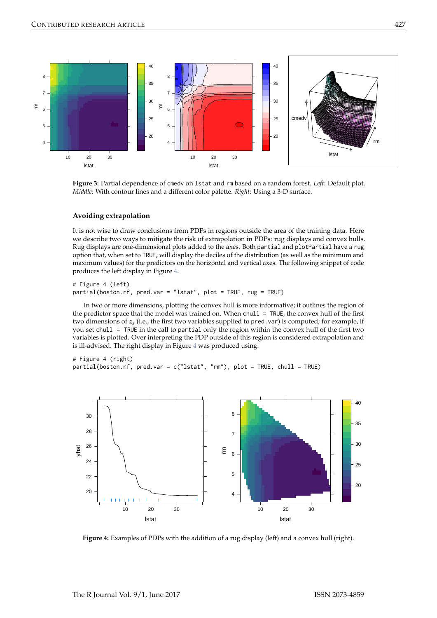

Figure 3: Partial dependence of cmedy on 1stat and rm based on a random forest. Left: Default plot. Middle: With contour lines and a different color palette. Right: Using a 3-D surface.

#### Avoiding extrapolation

It is not wise to draw conclusions from PDPs in regions outside the area of the training data. Here we describe two ways to mitigate the risk of extrapolation in PDPs: rug displays and convex hulls. Rug displays are one-dimensional plots added to the axes. Both partial and plotPartial have a rug option that, when set to TRUE, will display the deciles of the distribution (as well as the minimum and maximum values) for the predictors on the horizontal and vertical axes. The following snippet of code produces the left display in Figure 4.

# Figure 4 (left) partial(boston.rf, pred.var = "lstat", plot = TRUE, rug = TRUE)

In two or more dimensions, plotting the convex hull is more informative; it outlines the region of the predictor space that the model was trained on. When chull = TRUE, the convex hull of the first two dimensions of  $z_s$  (i.e., the first two variables supplied to pred. var) is computed; for example, if you set chull = TRUE in the call to partial only the region within the convex hull of the first two variables is plotted. Over interpreting the PDP outside of this region is considered extrapolation and is ill-advised. The right display in Figure 4 was produced using:

# Figure 4 (right) partial(boston.rf, pred.var = c("lstat", "rm"), plot = TRUE, chull = TRUE)



Figure 4: Examples of PDPs with the addition of a rug display (left) and a convex hull (right).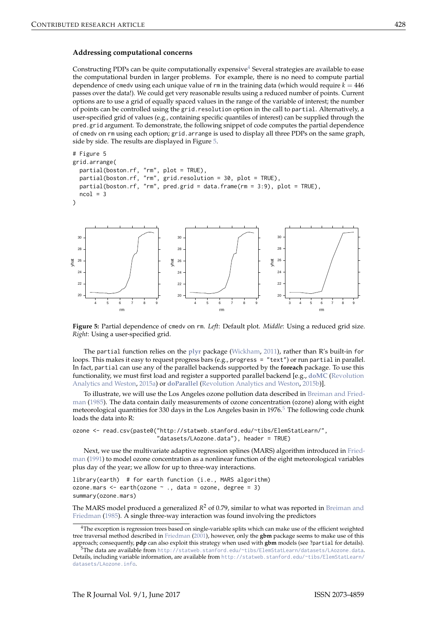#### Addressing computational concerns

Constructing PDPs can be quite computationally expensive<sup>4</sup> Several strategies are available to ease the computational burden in larger problems. For example, there is no need to compute partial dependence of cmedy using each unique value of rm in the training data (which would require  $k = 446$ passes over the data!). We could get very reasonable results using a reduced number of points. Current options are to use a grid of equally spaced values in the range of the variable of interest; the number of points can be controlled using the grid, resolution option in the call to partial. Alternatively, a user-specified grid of values (e.g., containing specific quantiles of interest) can be supplied through the pred, grid argument. To demonstrate, the following snippet of code computes the partial dependence of cmedy on rm using each option; grid. arrange is used to display all three PDPs on the same graph, side by side. The results are displayed in Figure 5.

```
# Figure 5
grid.arrange(
  partial(boston.rf, "rm", plot = TRUE),
  partial(boston.rf, "rm", grid.resolution = 30, plot = TRUE),
  partial(boston.rf, "rm", pred.grid = data.frame(rm = 3:9), plot = TRUE),
  ncol = 3Ď
                                                                     3<sup>o</sup>30^{\circ}30
                                                                     ^{29}
```




The partial function relies on the plyr package (Wickham, 2011), rather than R's built-in for loops. This makes it easy to request progress bars (e.g., progress = "text") or run partial in parallel. In fact, partial can use any of the parallel backends supported by the foreach package. To use this functionality, we must first load and register a supported parallel backend [e.g., doMC (Revolution Analytics and Weston, 2015a) or doParallel (Revolution Analytics and Weston, 2015b)].

To illustrate, we will use the Los Angeles ozone pollution data described in Breiman and Friedman (1985). The data contain daily measurements of ozone concentration (ozone) along with eight meteorological quantities for 330 days in the Los Angeles basin in 1976.<sup>5</sup> The following code chunk loads the data into R:

```
ozone <- read.csv(paste0("http://statweb.stanford.edu/~tibs/ElemStatLearn/".
                         "datasets/LAozone.data"), header = TRUE)
```
Next, we use the multivariate adaptive regression splines (MARS) algorithm introduced in Friedman (1991) to model ozone concentration as a nonlinear function of the eight meteorological variables plus day of the year; we allow for up to three-way interactions.

library(earth) # for earth function (i.e., MARS algorithm) ozone.mars  $\leq$  earth(ozone  $\leq$  ., data = ozone, degree = 3) summary(ozone.mars)

The MARS model produced a generalized  $R^2$  of 0.79, similar to what was reported in Breiman and Friedman (1985). A single three-way interaction was found involving the predictors

<sup>&</sup>lt;sup>4</sup>The exception is regression trees based on single-variable splits which can make use of the efficient weighted tree traversal method described in Friedman (2001), however, only the **gbm** package seems to make use of this approach; consequently, pdp can also exploit this strategy when used with gbm models (see ?partial for details).

<sup>&</sup>lt;sup>5</sup>The data are available from http://statweb.stanford.edu/~tibs/ElemStatLearn/datasets/LAozone.data. Details, including variable information, are available from http://statweb.stanford.edu/~tibs/ElemStatLearn/ datasets/LAozone.info.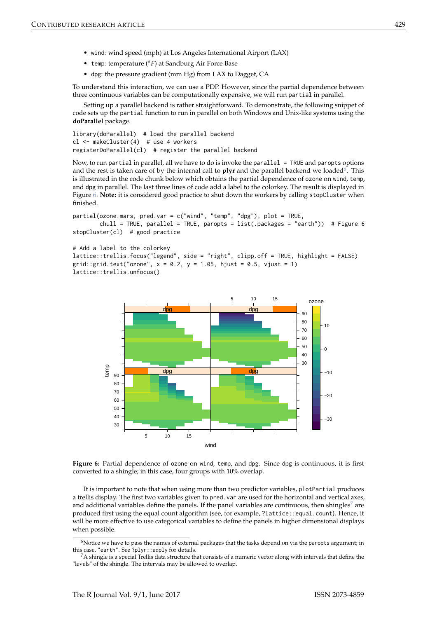- wind: wind speed (mph) at Los Angeles International Airport (LAX)
- temp: temperature  $({}^{\circ}F)$  at Sandburg Air Force Base
- dpg: the pressure gradient (mm Hg) from LAX to Dagget, CA

To understand this interaction, we can use a PDP. However, since the partial dependence between three continuous variables can be computationally expensive, we will run partial in parallel.

Setting up a parallel backend is rather straightforward. To demonstrate, the following snippet of code sets up the partial function to run in parallel on both Windows and Unix-like systems using the doParallel package.

library(doParallel) # load the parallel backend  $cl$  <- makeCluster(4) # use 4 workers registerDoParallel(cl) # register the parallel backend

Now, to run partial in parallel, all we have to do is invoke the parallel = TRUE and paropts options and the rest is taken care of by the internal call to plyr and the parallel backend we loaded<sup>6</sup>. This is illustrated in the code chunk below which obtains the partial dependence of ozone on wind, temp, and dpg in parallel. The last three lines of code add a label to the colorkey. The result is displayed in Figure 6. Note: it is considered good practice to shut down the workers by calling stopCluster when finished.

```
partial(ozone.mars, pred.var = c("wind", "temp", "dpg"), plot = TRUE,chull = TRUE, parallel = TRUE, paropts = list(.package s = "earth")) # Figure 6
stopCluster(cl) # good practice
```

```
# Add a label to the colorkey
lattice::trellis.focus("legend", side = "right", clipp.off = TRUE, highlight = FALSE)
grid::grid.text("ozone", x = 0.2, y = 1.05, hjust = 0.5, vjust = 1)
lattice::trellis.unfocus()
```


Figure 6: Partial dependence of ozone on wind, temp, and dpg. Since dpg is continuous, it is first converted to a shingle; in this case, four groups with 10% overlap.

It is important to note that when using more than two predictor variables, plotPartial produces a trellis display. The first two variables given to pred. var are used for the horizontal and vertical axes, and additional variables define the panels. If the panel variables are continuous, then shingles<sup>7</sup> are produced first using the equal count algorithm (see, for example, ?lattice::equal.count). Hence, it will be more effective to use categorical variables to define the panels in higher dimensional displays when possible.

 $6$ Notice we have to pass the names of external packages that the tasks depend on via the paropts argument; in this case, "earth". See ?plyr::adply for details.

 $^7$ A shingle is a special Trellis data structure that consists of a numeric vector along with intervals that define the "levels" of the shingle. The intervals may be allowed to overlap.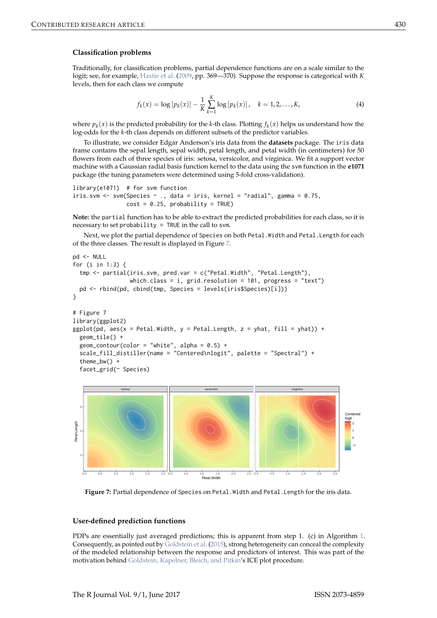#### **Classification problems**

Traditionally, for classification problems, partial dependence functions are on a scale similar to the logit; see, for example, Hastie et al. (2009, pp. 369-370). Suppose the response is categorical with K levels, then for each class we compute

$$
f_k(x) = \log [p_k(x)] - \frac{1}{K} \sum_{k=1}^{K} \log [p_k(x)], \quad k = 1, 2, ..., K,
$$
 (4)

where  $p_k(x)$  is the predicted probability for the k-th class. Plotting  $f_k(x)$  helps us understand how the log-odds for the k-th class depends on different subsets of the predictor variables.

To illustrate, we consider Edgar Anderson's iris data from the datasets package. The iris data frame contains the sepal length, sepal width, petal length, and petal width (in centimeters) for 50 flowers from each of three species of iris: setosa, versicolor, and virginica. We fit a support vector machine with a Gaussian radial basis function kernel to the data using the sym function in the e1071 package (the tuning parameters were determined using 5-fold cross-validation).

```
\text{library}(e1071) # for svm function
iris.svm <- svm(Species \sim ., data = iris, kernel = "radial", gamma = 0.75,
                 cost = 0.25, probability = TRUE)
```
Note: the partial function has to be able to extract the predicted probabilities for each class, so it is necessary to set probability = TRUE in the call to svm.

Next, we plot the partial dependence of Species on both Petal. Width and Petal. Length for each of the three classes. The result is displayed in Figure 7.

```
pd <- NULL
for (i in 1:3) {
 tmp <- partial(iris.svm, pred.var = c("Petal.Width", "Petal.Length"),
                 which.class = i, grid.resolution = 101, progress = "text")
 pd <- rbind(pd, cbind(tmp, Species = levels(iris$Species)[i]))
<sup>)</sup>
# Figure 7
library(ggplot2)
ggplot(pd, aes(x = Petal.Width, y = Petal.Length, z = yhat, fill = yhat)) +geom tile() +
 geom_contour(color = "white", alpha = 0.5) +
 scale_fill_distiller(name = "Centered\nlogit", palette = "Spectral") +
  theme bw() +facet_grid(~ Species)
```


Figure 7: Partial dependence of Species on Petal. Width and Petal. Length for the iris data.

#### **User-defined prediction functions**

PDPs are essentially just averaged predictions; this is apparent from step 1. (c) in Algorithm 1. Consequently, as pointed out by Goldstein et al. (2015), strong heterogeneity can conceal the complexity of the modeled relationship between the response and predictors of interest. This was part of the motivation behind Goldstein, Kapelner, Bleich, and Pitkin's ICE plot procedure.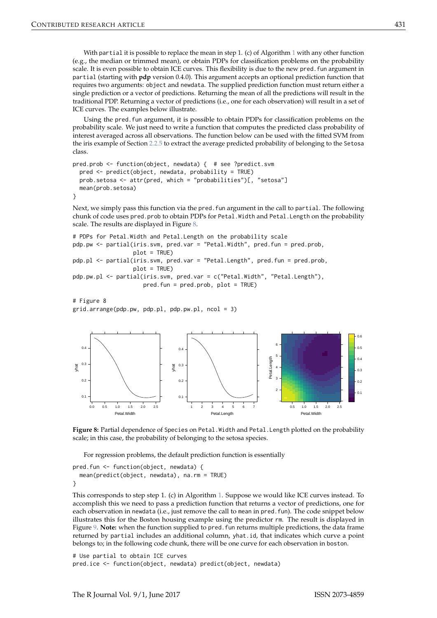With partial it is possible to replace the mean in step 1. (c) of Algorithm 1 with any other function (e.g., the median or trimmed mean), or obtain PDPs for classification problems on the probability scale. It is even possible to obtain ICE curves. This flexibility is due to the new pred. fun argument in partial (starting with pdp version 0.4.0). This argument accepts an optional prediction function that requires two arguments: object and newdata. The supplied prediction function must return either a single prediction or a vector of predictions. Returning the mean of all the predictions will result in the traditional PDP. Returning a vector of predictions (i.e., one for each observation) will result in a set of ICE curves. The examples below illustrate.

Using the pred. fun argument, it is possible to obtain PDPs for classification problems on the probability scale. We just need to write a function that computes the predicted class probability of interest averaged across all observations. The function below can be used with the fitted SVM from the iris example of Section 2.2.5 to extract the average predicted probability of belonging to the Setosa class.

```
pred.prob <- function(object, newdata) { # see ?predict.svm
 pred <- predict(object, newdata, probability = TRUE)
 prob.setosa <- attr(pred, which = "probabilities")[, "setosa"]
 mean(prob.setosa)
\overline{\ }
```
Next, we simply pass this function via the pred. fun argument in the call to partial. The following chunk of code uses pred.prob to obtain PDPs for Petal. Width and Petal. Length on the probability scale. The results are displayed in Figure 8.

```
# PDPs for Petal. Width and Petal. Length on the probability scale
pdp.pw <- partial(iris.svm, pred.var = "Petal.Width", pred.fun = pred.prob,
                  plot = TRUE)
pdp.pl <- partial(iris.svm, pred.var = "Petal.Length", pred.fun = pred.prob,
                  plot = TRUE)
pdp.pw.pl <- partial(iris.svm, pred.var = c("Petal.Width", "Petal.Length"),
                     pred.fun = pred.prob, plot = TRUE)
```

```
# Figure 8
grid.arrayange(pdp.py, pdp.pl, pdp.pyu.pl, ncol = 3)
```




For regression problems, the default prediction function is essentially

```
pred.fun <- function(object, newdata) {
 mean(predict(object, newdata), na.rm = TRUE)∋
```
This corresponds to step step 1. (c) in Algorithm 1. Suppose we would like ICE curves instead. To accomplish this we need to pass a prediction function that returns a vector of predictions, one for each observation in newdata (i.e., just remove the call to mean in pred. fun). The code snippet below illustrates this for the Boston housing example using the predictor rm. The result is displayed in Figure 9. Note: when the function supplied to pred. fun returns multiple predictions, the data frame returned by partial includes an additional column, yhat.id, that indicates which curve a point belongs to; in the following code chunk, there will be one curve for each observation in boston.

# Use partial to obtain ICE curves pred.ice <- function(object, newdata) predict(object, newdata)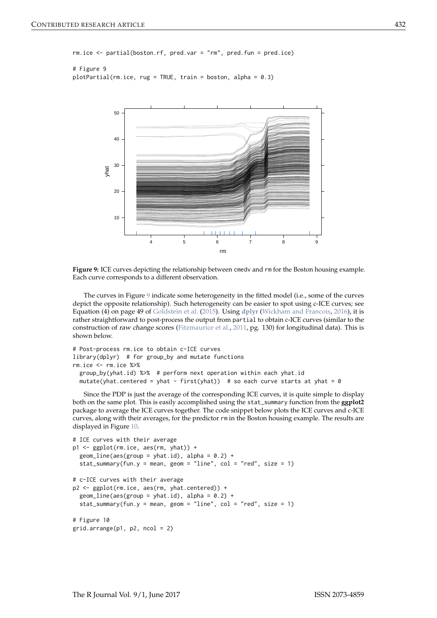```
rm.ice \leftarrow partial(boston.rf, pred.var = "rm", pred.fun = pred.ice)
```

```
# Figure 9
plotPartial(rm.ice, rug = TRUE, train = boston, alpha = 0.3)
```


Figure 9: ICE curves depicting the relationship between cmedy and rm for the Boston housing example. Each curve corresponds to a different observation.

The curves in Figure 9 indicate some heterogeneity in the fitted model (i.e., some of the curves depict the opposite relationship). Such heterogeneity can be easier to spot using c-ICE curves; see Equation (4) on page 49 of Goldstein et al. (2015). Using dplyr (Wickham and Francois, 2016), it is rather straightforward to post-process the output from partial to obtain c-ICE curves (similar to the construction of raw change scores (Fitzmaurice et al., 2011, pg. 130) for longitudinal data). This is shown below.

```
# Post-process rm.ice to obtain c-ICE curves
library(dplyr) # for group_by and mutate functions
rm.ice < -rm.ice %>%
 group_by(yhat.id) %>% # perform next operation within each yhat.id
 mutate(yhat.centered = yhat - first(yhat)) # so each curve starts at yhat = 0
```
Since the PDP is just the average of the corresponding ICE curves, it is quite simple to display both on the same plot. This is easily accomplished using the stat\_summary function from the ggplot2 package to average the ICE curves together. The code snippet below plots the ICE curves and c-ICE curves, along with their averages, for the predictor rm in the Boston housing example. The results are displayed in Figure 10.

```
# ICE curves with their average
p1 \leq - ggplot(rm.ice, aes(rm, yhat)) +
 geom_line(aes(group = yhat.id), alpha = 0.2) +
 stat_summary(fun.y = mean, geom = "line", col = "red", size = 1)
# c-ICE curves with their average
p2 \leq - ggplot(rm.ice, aes(rm, yhat.centered)) +
 geom_line(aes(group = yhat.id), alpha = 0.2) +
 stat_summary(fun.y = mean, geom = "line", col = "red", size = 1)
# Figure 10
grid.arrayange(p1, p2, ncol = 2)
```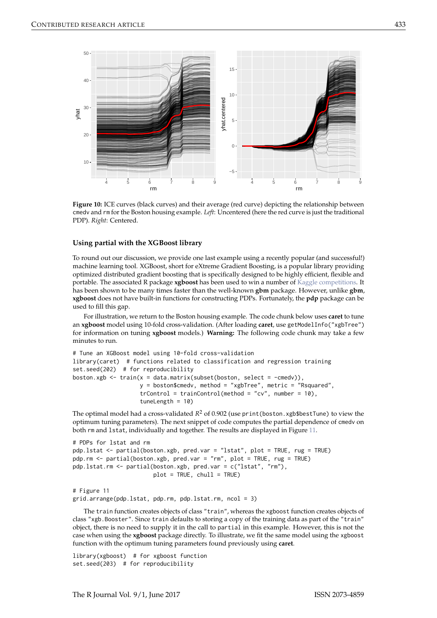

Figure 10: ICE curves (black curves) and their average (red curve) depicting the relationship between cmedv and rm for the Boston housing example. Left: Uncentered (here the red curve is just the traditional PDP). Right: Centered.

#### Using partial with the XGBoost library

To round out our discussion, we provide one last example using a recently popular (and successful!) machine learning tool. XGBoost, short for eXtreme Gradient Boosting, is a popular library providing optimized distributed gradient boosting that is specifically designed to be highly efficient, flexible and portable. The associated R package xgboost has been used to win a number of Kaggle competitions. It has been shown to be many times faster than the well-known gbm package. However, unlike gbm, xgboost does not have built-in functions for constructing PDPs. Fortunately, the pdp package can be used to fill this gap.

For illustration, we return to the Boston housing example. The code chunk below uses caret to tune an xgboost model using 10-fold cross-validation. (After loading caret, use getModelInfo("xgbTree") for information on tuning xgboost models.) Warning: The following code chunk may take a few minutes to run.

```
# Tune an XGBoost model using 10-fold cross-validation
library(caret) # functions related to classification and regression training
set.seed(202) # for reproducibility
boston.xgb <- train(x = data.matrix(subset(boston, select = -cmedv)),
                   y = boston$cmedv, method = "xgbTree", metric = "Rsquared",
                   trControl = trainControl(method = "cv", number = 10).tuneLength = 10)
```
The optimal model had a cross-validated  $R^2$  of 0.902 (use print (boston. xgb\$bestTune) to view the optimum tuning parameters). The next snippet of code computes the partial dependence of cmedy on both rm and 1stat, individually and together. The results are displayed in Figure 11.

```
# PDPs for lstat and rm
pdp.lstat <- partial(boston.xgb, pred.var = "lstat", plot = TRUE, rug = TRUE)
pdp.rm <- partial(boston.xgb, pred.var = "rm", plot = TRUE, rug = TRUE)
pdp.lstat.rm <- partial(boston.xgb, pred.var = c("lstat", "rm"),
                        plot = TRUE, chull = TRUE)
```

```
# Figure 11
grid.arrange(pdp.lstat, pdp.rm, pdp.lstat.rm, ncol = 3)
```
The train function creates objects of class "train", whereas the xgboost function creates objects of class "xgb. Booster". Since train defaults to storing a copy of the training data as part of the "train" object, there is no need to supply it in the call to partial in this example. However, this is not the case when using the xgboost package directly. To illustrate, we fit the same model using the xgboost function with the optimum tuning parameters found previously using caret.

library(xgboost) # for xgboost function set.seed(203) # for reproducibility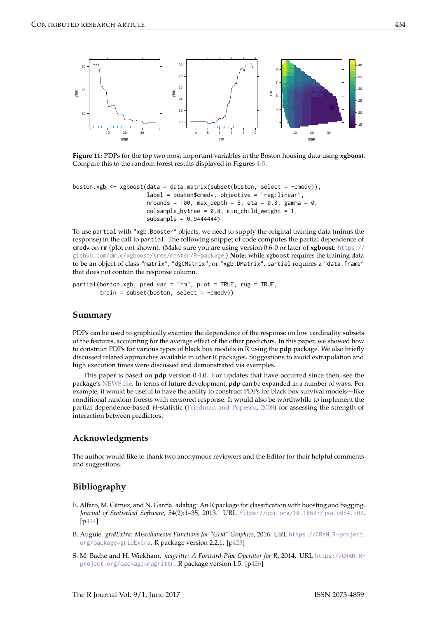

Figure 11: PDPs for the top two most important variables in the Boston housing data using xgboost. Compare this to the random forest results displayed in Figures 4-5.

```
boston.xgb <- xgboost(data = data.matrix(subset(boston, select = -cmedv)),
                       label = boson Scm od poston scmedv, objective = "reg: linear",
                       nrounds = 100, max_depth = 5, eta = 0.3, gamma = 0,
                       colsample_bytree = 0.8, min_child_weight = 1,
                       subsample = 0.9444444
```
To use partial with "xgb. Booster" objects, we need to supply the original training data (minus the response) in the call to partial. The following snippet of code computes the partial dependence of cmedv on rm (plot not shown). (Make sure you are using version 0.6-0 or later of xgboost: https:// github.com/dmlc/xgboost/tree/master/R-package.) Note: while xgboost requires the training data to be an object of class "matrix", "dgCMatrix", or "xgb. DMatrix", partial requires a "data. frame" that does not contain the response column.

```
partial(boston.xgb, pred.var = "rm", plot = TRUE, rug = TRUE,
       train = subset(boston, select = -cmedv))
```
## Summary

PDPs can be used to graphically examine the dependence of the response on low cardinality subsets of the features, accounting for the average effect of the other predictors. In this paper, we showed how to construct PDPs for various types of black box models in R using the pdp package. We also briefly discussed related approaches available in other R packages. Suggestions to avoid extrapolation and high execution times were discussed and demonstrated via examples.

This paper is based on  $pdp$  version 0.4.0. For updates that have occurred since then, see the package's NEWS file. In terms of future development, pdp can be expanded in a number of ways. For example, it would be useful to have the ability to construct PDPs for black box survival models-like conditional random forests with censored response. It would also be worthwhile to implement the partial dependence-based H-statistic (Friedman and Popescu, 2008) for assessing the strength of interaction between predictors.

## Acknowledgments

The author would like to thank two anonymous reviewers and the Editor for their helpful comments and suggestions.

# **Bibliography**

- E. Alfaro, M. Gámez, and N. García. adabag: An R package for classification with boosting and bagging. Journal of Statistical Software, 54(2):1-35, 2013. URL https://doi.org/10.18637/jss.v054.i02.  $[p424]$
- B. Auguie. gridExtra: Miscellaneous Functions for "Grid" Graphics, 2016. URL https://CRAN.R-project. org/package=gridExtra. R package version 2.2.1. [p423]
- S. M. Bache and H. Wickham. magrittr: A Forward-Pipe Operator for R, 2014. URL https://CRAN.Rproject.org/package=magrittr. R package version 1.5. [p426]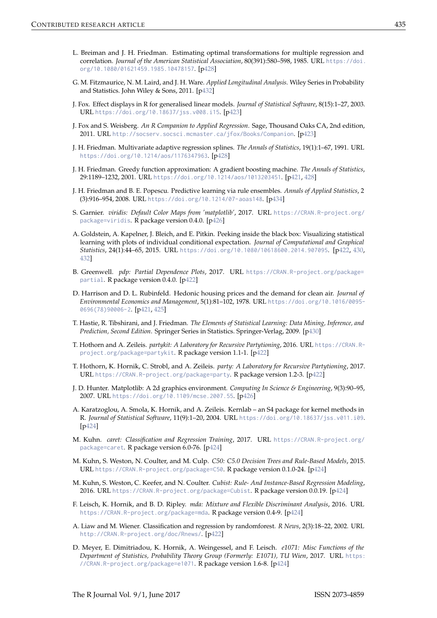- L. Breiman and J. H. Friedman. Estimating optimal transformations for multiple regression and correlation. Journal of the American Statistical Association, 80(391):580-598, 1985. URL https://doi. org/10.1080/01621459.1985.10478157. [p428]
- G. M. Fitzmaurice, N. M. Laird, and J. H. Ware. Applied Longitudinal Analysis. Wiley Series in Probability and Statistics. John Wiley & Sons, 2011. [p432]
- J. Fox. Effect displays in R for generalised linear models. Journal of Statistical Software, 8(15):1-27, 2003. URL https://doi.org/10.18637/jss.v008.i15. [p423]
- J. Fox and S. Weisberg. An R Companion to Applied Regression. Sage, Thousand Oaks CA, 2nd edition, 2011. URL http://socserv.socsci.mcmaster.ca/jfox/Books/Companion. [p423]
- J. H. Friedman. Multivariate adaptive regression splines. The Annals of Statistics, 19(1):1-67, 1991. URL https://doi.org/10.1214/aos/1176347963. [p428]
- J. H. Friedman. Greedy function approximation: A gradient boosting machine. The Annals of Statistics, 29:1189-1232, 2001. URL https://doi.org/10.1214/aos/1013203451. [p421, 428]
- J. H. Friedman and B. E. Popescu. Predictive learning via rule ensembles. Annals of Applied Statistics, 2 (3):916-954, 2008. URL https://doi.org/10.1214/07-aoas148. [p434]
- S. Garnier. viridis: Default Color Maps from 'matplotlib', 2017. URL https://CRAN.R-project.org/ package=viridis. R package version 0.4.0. [p426]
- A. Goldstein, A. Kapelner, J. Bleich, and E. Pitkin. Peeking inside the black box: Visualizing statistical learning with plots of individual conditional expectation. Journal of Computational and Graphical Statistics, 24(1):44-65, 2015. URL https://doi.org/10.1080/10618600.2014.907095. [p422, 430, 4321
- B. Greenwell. pdp: Partial Dependence Plots, 2017. URL https://CRAN.R-project.org/package= partial. R package version 0.4.0. [p422]
- D. Harrison and D. L. Rubinfeld. Hedonic housing prices and the demand for clean air. Journal of Environmental Economics and Management, 5(1):81-102, 1978. URL https://doi.org/10.1016/0095-0696(78)90006-2. [p421, 425]
- T. Hastie, R. Tibshirani, and J. Friedman. The Elements of Statistical Learning: Data Mining, Inference, and Prediction, Second Edition. Springer Series in Statistics. Springer-Verlag, 2009. [p430]
- T. Hothorn and A. Zeileis. partykit: A Laboratory for Recursive Partytioning, 2016. URL https://CRAN.Rproject.org/package=partykit. R package version 1.1-1. [p422]
- T. Hothorn, K. Hornik, C. Strobl, and A. Zeileis. party: A Laboratory for Recursive Partytioning, 2017. URL https://CRAN.R-project.org/package=party. R package version 1.2-3. [p422]
- J. D. Hunter. Matplotlib: A 2d graphics environment. Computing In Science & Engineering, 9(3):90–95, 2007. URL https://doi.org/10.1109/mcse.2007.55. [p426]
- A. Karatzoglou, A. Smola, K. Hornik, and A. Zeileis. Kernlab an S4 package for kernel methods in R. Journal of Statistical Software, 11(9):1-20, 2004. URL https://doi.org/10.18637/jss.v011.i09.  $[p424]$
- M. Kuhn. caret: Classification and Regression Training, 2017. URL https://CRAN.R-project.org/ package=caret. R package version 6.0-76. [p424]
- M. Kuhn, S. Weston, N. Coulter, and M. Culp. C50: C5.0 Decision Trees and Rule-Based Models, 2015. URL https://CRAN.R-project.org/package=C50. R package version 0.1.0-24. [p424]
- M. Kuhn, S. Weston, C. Keefer, and N. Coulter. Cubist: Rule- And Instance-Based Regression Modeling, 2016. URL https://CRAN.R-project.org/package=Cubist. R package version 0.0.19. [p424]
- F. Leisch, K. Hornik, and B. D. Ripley. mda: Mixture and Flexible Discriminant Analysis, 2016. URL https://CRAN.R-project.org/package=mda. R package version 0.4-9. [p424]
- A. Liaw and M. Wiener. Classification and regression by randomforest. R News, 2(3):18-22, 2002. URL http://CRAN.R-project.org/doc/Rnews/. [p422]
- D. Meyer, E. Dimitriadou, K. Hornik, A. Weingessel, and F. Leisch. e1071: Misc Functions of the Department of Statistics, Probability Theory Group (Formerly: E1071), TU Wien, 2017. URL https: //CRAN.R-project.org/package=e1071. R package version 1.6-8. [p424]